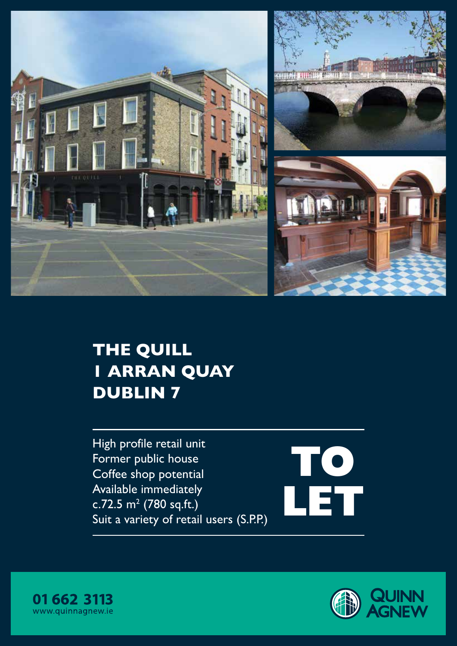



# THE QUILL 1 ARRAN QUAY DUBLIN 7

High profile retail unit Former public house Coffee shop potential Available immediately c.72.5  $m^2$  (780 sq.ft.) Suit a variety of retail users (S.P.P.)





**TO**

**LET**